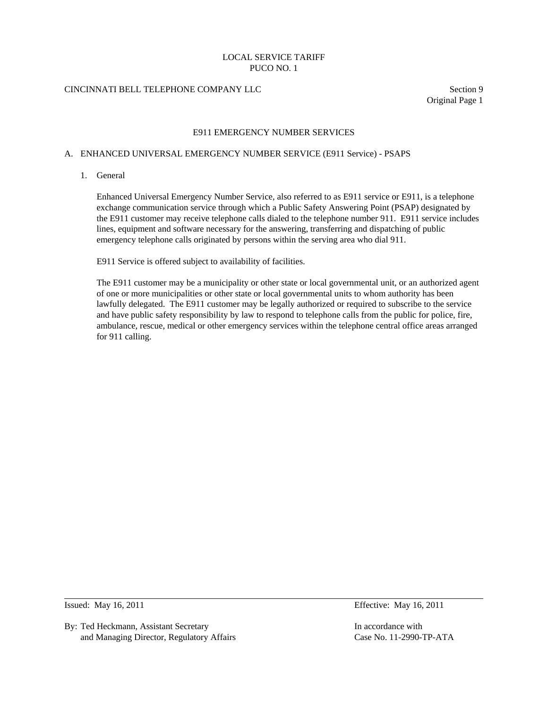# CINCINNATI BELL TELEPHONE COMPANY LLC Section 9

Original Page 1

### E911 EMERGENCY NUMBER SERVICES

#### A. ENHANCED UNIVERSAL EMERGENCY NUMBER SERVICE (E911 Service) - PSAPS

1. General

 Enhanced Universal Emergency Number Service, also referred to as E911 service or E911, is a telephone exchange communication service through which a Public Safety Answering Point (PSAP) designated by the E911 customer may receive telephone calls dialed to the telephone number 911. E911 service includes lines, equipment and software necessary for the answering, transferring and dispatching of public emergency telephone calls originated by persons within the serving area who dial 911.

E911 Service is offered subject to availability of facilities.

 The E911 customer may be a municipality or other state or local governmental unit, or an authorized agent of one or more municipalities or other state or local governmental units to whom authority has been lawfully delegated. The E911 customer may be legally authorized or required to subscribe to the service and have public safety responsibility by law to respond to telephone calls from the public for police, fire, ambulance, rescue, medical or other emergency services within the telephone central office areas arranged for 911 calling.

 $\overline{a}$ 

By: Ted Heckmann, Assistant Secretary In accordance with In accordance with and Managing Director, Regulatory Affairs Case No. 11-2990-TP-ATA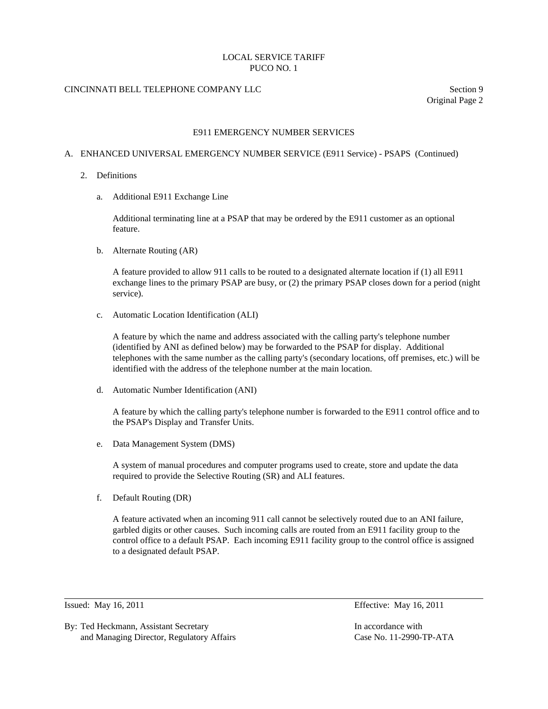# CINCINNATI BELL TELEPHONE COMPANY LLC Section 9

Original Page 2

### E911 EMERGENCY NUMBER SERVICES

### A. ENHANCED UNIVERSAL EMERGENCY NUMBER SERVICE (E911 Service) - PSAPS (Continued)

- 2. Definitions
	- a. Additional E911 Exchange Line

 Additional terminating line at a PSAP that may be ordered by the E911 customer as an optional feature.

b. Alternate Routing (AR)

 A feature provided to allow 911 calls to be routed to a designated alternate location if (1) all E911 exchange lines to the primary PSAP are busy, or (2) the primary PSAP closes down for a period (night service).

c. Automatic Location Identification (ALI)

 A feature by which the name and address associated with the calling party's telephone number (identified by ANI as defined below) may be forwarded to the PSAP for display. Additional telephones with the same number as the calling party's (secondary locations, off premises, etc.) will be identified with the address of the telephone number at the main location.

d. Automatic Number Identification (ANI)

 A feature by which the calling party's telephone number is forwarded to the E911 control office and to the PSAP's Display and Transfer Units.

e. Data Management System (DMS)

 A system of manual procedures and computer programs used to create, store and update the data required to provide the Selective Routing (SR) and ALI features.

f. Default Routing (DR)

 A feature activated when an incoming 911 call cannot be selectively routed due to an ANI failure, garbled digits or other causes. Such incoming calls are routed from an E911 facility group to the control office to a default PSAP. Each incoming E911 facility group to the control office is assigned to a designated default PSAP.

 $\overline{a}$ 

By: Ted Heckmann, Assistant Secretary In accordance with In accordance with and Managing Director, Regulatory Affairs Case No. 11-2990-TP-ATA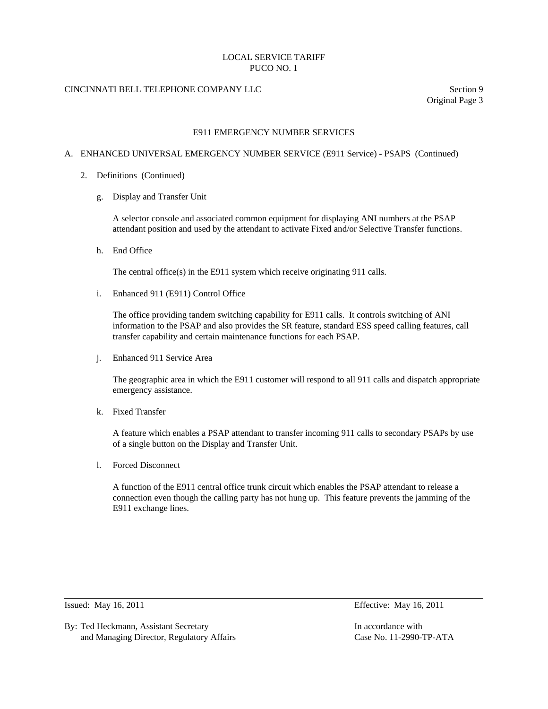# CINCINNATI BELL TELEPHONE COMPANY LLC Section 9

Original Page 3

### E911 EMERGENCY NUMBER SERVICES

### A. ENHANCED UNIVERSAL EMERGENCY NUMBER SERVICE (E911 Service) - PSAPS (Continued)

- 2. Definitions (Continued)
	- g. Display and Transfer Unit

 A selector console and associated common equipment for displaying ANI numbers at the PSAP attendant position and used by the attendant to activate Fixed and/or Selective Transfer functions.

h. End Office

The central office(s) in the E911 system which receive originating 911 calls.

i. Enhanced 911 (E911) Control Office

 The office providing tandem switching capability for E911 calls. It controls switching of ANI information to the PSAP and also provides the SR feature, standard ESS speed calling features, call transfer capability and certain maintenance functions for each PSAP.

j. Enhanced 911 Service Area

 The geographic area in which the E911 customer will respond to all 911 calls and dispatch appropriate emergency assistance.

k. Fixed Transfer

 A feature which enables a PSAP attendant to transfer incoming 911 calls to secondary PSAPs by use of a single button on the Display and Transfer Unit.

l. Forced Disconnect

 A function of the E911 central office trunk circuit which enables the PSAP attendant to release a connection even though the calling party has not hung up. This feature prevents the jamming of the E911 exchange lines.

 $\overline{a}$ 

By: Ted Heckmann, Assistant Secretary **In accordance with** In accordance with and Managing Director, Regulatory Affairs Case No. 11-2990-TP-ATA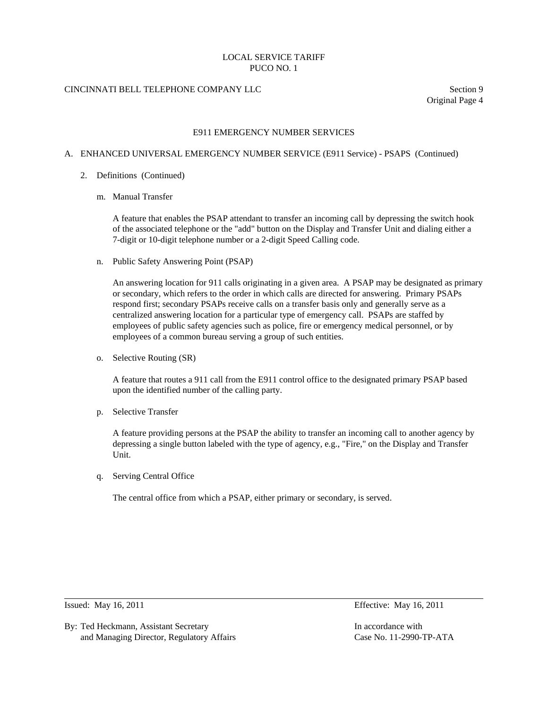# CINCINNATI BELL TELEPHONE COMPANY LLC Section 9

Original Page 4

### E911 EMERGENCY NUMBER SERVICES

### A. ENHANCED UNIVERSAL EMERGENCY NUMBER SERVICE (E911 Service) - PSAPS (Continued)

- 2. Definitions (Continued)
	- m. Manual Transfer

 A feature that enables the PSAP attendant to transfer an incoming call by depressing the switch hook of the associated telephone or the "add" button on the Display and Transfer Unit and dialing either a 7-digit or 10-digit telephone number or a 2-digit Speed Calling code.

n. Public Safety Answering Point (PSAP)

 An answering location for 911 calls originating in a given area. A PSAP may be designated as primary or secondary, which refers to the order in which calls are directed for answering. Primary PSAPs respond first; secondary PSAPs receive calls on a transfer basis only and generally serve as a centralized answering location for a particular type of emergency call. PSAPs are staffed by employees of public safety agencies such as police, fire or emergency medical personnel, or by employees of a common bureau serving a group of such entities.

o. Selective Routing (SR)

 A feature that routes a 911 call from the E911 control office to the designated primary PSAP based upon the identified number of the calling party.

p. Selective Transfer

 A feature providing persons at the PSAP the ability to transfer an incoming call to another agency by depressing a single button labeled with the type of agency, e.g., "Fire," on the Display and Transfer Unit.

q. Serving Central Office

The central office from which a PSAP, either primary or secondary, is served.

 $\overline{a}$ 

By: Ted Heckmann, Assistant Secretary **In accordance with** In accordance with and Managing Director, Regulatory Affairs Case No. 11-2990-TP-ATA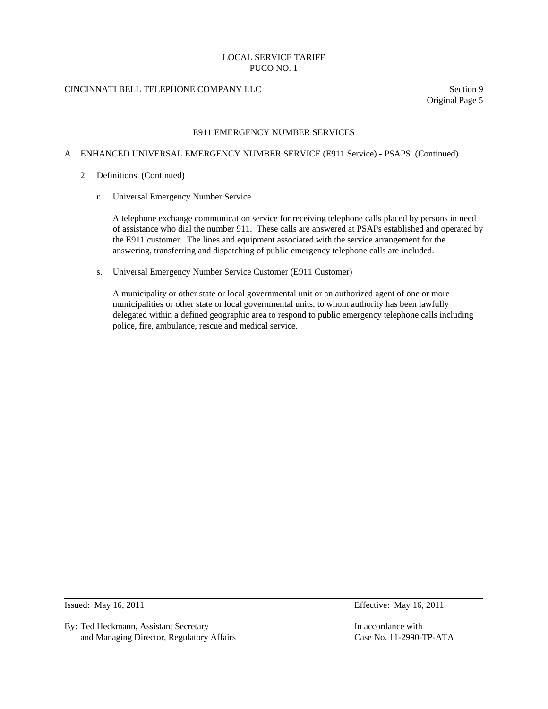# CINCINNATI BELL TELEPHONE COMPANY LLC Section 9

Original Page 5

### E911 EMERGENCY NUMBER SERVICES

### A. ENHANCED UNIVERSAL EMERGENCY NUMBER SERVICE (E911 Service) - PSAPS (Continued)

- 2. Definitions (Continued)
	- r. Universal Emergency Number Service

 A telephone exchange communication service for receiving telephone calls placed by persons in need of assistance who dial the number 911. These calls are answered at PSAPs established and operated by the E911 customer. The lines and equipment associated with the service arrangement for the answering, transferring and dispatching of public emergency telephone calls are included.

s. Universal Emergency Number Service Customer (E911 Customer)

 A municipality or other state or local governmental unit or an authorized agent of one or more municipalities or other state or local governmental units, to whom authority has been lawfully delegated within a defined geographic area to respond to public emergency telephone calls including police, fire, ambulance, rescue and medical service.

 $\overline{a}$ 

By: Ted Heckmann, Assistant Secretary **In accordance with** In accordance with and Managing Director, Regulatory Affairs Case No. 11-2990-TP-ATA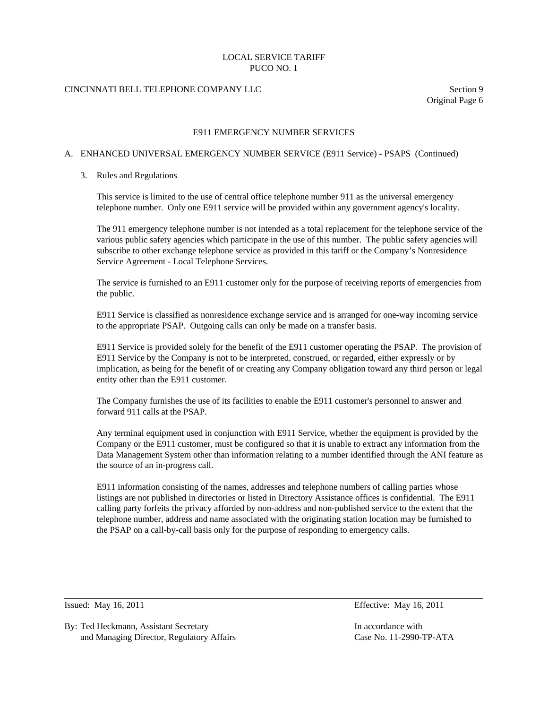# CINCINNATI BELL TELEPHONE COMPANY LLC Section 9

Original Page 6

### E911 EMERGENCY NUMBER SERVICES

# A. ENHANCED UNIVERSAL EMERGENCY NUMBER SERVICE (E911 Service) - PSAPS (Continued)

#### 3. Rules and Regulations

 This service is limited to the use of central office telephone number 911 as the universal emergency telephone number. Only one E911 service will be provided within any government agency's locality.

 The 911 emergency telephone number is not intended as a total replacement for the telephone service of the various public safety agencies which participate in the use of this number. The public safety agencies will subscribe to other exchange telephone service as provided in this tariff or the Company's Nonresidence Service Agreement - Local Telephone Services.

 The service is furnished to an E911 customer only for the purpose of receiving reports of emergencies from the public.

 E911 Service is classified as nonresidence exchange service and is arranged for one-way incoming service to the appropriate PSAP. Outgoing calls can only be made on a transfer basis.

 E911 Service is provided solely for the benefit of the E911 customer operating the PSAP. The provision of E911 Service by the Company is not to be interpreted, construed, or regarded, either expressly or by implication, as being for the benefit of or creating any Company obligation toward any third person or legal entity other than the E911 customer.

 The Company furnishes the use of its facilities to enable the E911 customer's personnel to answer and forward 911 calls at the PSAP.

 Any terminal equipment used in conjunction with E911 Service, whether the equipment is provided by the Company or the E911 customer, must be configured so that it is unable to extract any information from the Data Management System other than information relating to a number identified through the ANI feature as the source of an in-progress call.

 E911 information consisting of the names, addresses and telephone numbers of calling parties whose listings are not published in directories or listed in Directory Assistance offices is confidential. The E911 calling party forfeits the privacy afforded by non-address and non-published service to the extent that the telephone number, address and name associated with the originating station location may be furnished to the PSAP on a call-by-call basis only for the purpose of responding to emergency calls.

 $\overline{a}$ 

Issued: May 16, 2011 Effective: May 16, 2011

By: Ted Heckmann, Assistant Secretary **In accordance with** In accordance with and Managing Director, Regulatory Affairs Case No. 11-2990-TP-ATA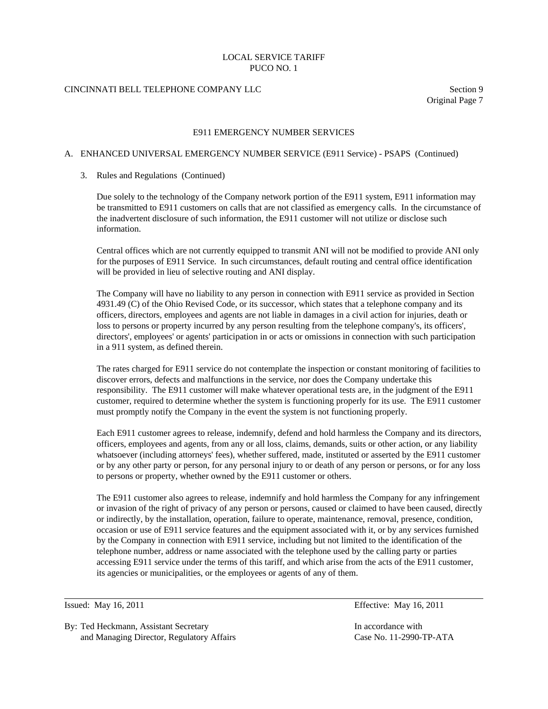# CINCINNATI BELL TELEPHONE COMPANY LLC Section 9

Original Page 7

### E911 EMERGENCY NUMBER SERVICES

# A. ENHANCED UNIVERSAL EMERGENCY NUMBER SERVICE (E911 Service) - PSAPS (Continued)

#### 3. Rules and Regulations (Continued)

 Due solely to the technology of the Company network portion of the E911 system, E911 information may be transmitted to E911 customers on calls that are not classified as emergency calls. In the circumstance of the inadvertent disclosure of such information, the E911 customer will not utilize or disclose such information.

 Central offices which are not currently equipped to transmit ANI will not be modified to provide ANI only for the purposes of E911 Service. In such circumstances, default routing and central office identification will be provided in lieu of selective routing and ANI display.

 The Company will have no liability to any person in connection with E911 service as provided in Section 4931.49 (C) of the Ohio Revised Code, or its successor, which states that a telephone company and its officers, directors, employees and agents are not liable in damages in a civil action for injuries, death or loss to persons or property incurred by any person resulting from the telephone company's, its officers', directors', employees' or agents' participation in or acts or omissions in connection with such participation in a 911 system, as defined therein.

 The rates charged for E911 service do not contemplate the inspection or constant monitoring of facilities to discover errors, defects and malfunctions in the service, nor does the Company undertake this responsibility. The E911 customer will make whatever operational tests are, in the judgment of the E911 customer, required to determine whether the system is functioning properly for its use. The E911 customer must promptly notify the Company in the event the system is not functioning properly.

 Each E911 customer agrees to release, indemnify, defend and hold harmless the Company and its directors, officers, employees and agents, from any or all loss, claims, demands, suits or other action, or any liability whatsoever (including attorneys' fees), whether suffered, made, instituted or asserted by the E911 customer or by any other party or person, for any personal injury to or death of any person or persons, or for any loss to persons or property, whether owned by the E911 customer or others.

 The E911 customer also agrees to release, indemnify and hold harmless the Company for any infringement or invasion of the right of privacy of any person or persons, caused or claimed to have been caused, directly or indirectly, by the installation, operation, failure to operate, maintenance, removal, presence, condition, occasion or use of E911 service features and the equipment associated with it, or by any services furnished by the Company in connection with E911 service, including but not limited to the identification of the telephone number, address or name associated with the telephone used by the calling party or parties accessing E911 service under the terms of this tariff, and which arise from the acts of the E911 customer, its agencies or municipalities, or the employees or agents of any of them.

 $\overline{a}$ 

By: Ted Heckmann, Assistant Secretary **In accordance with** In accordance with and Managing Director, Regulatory Affairs Case No. 11-2990-TP-ATA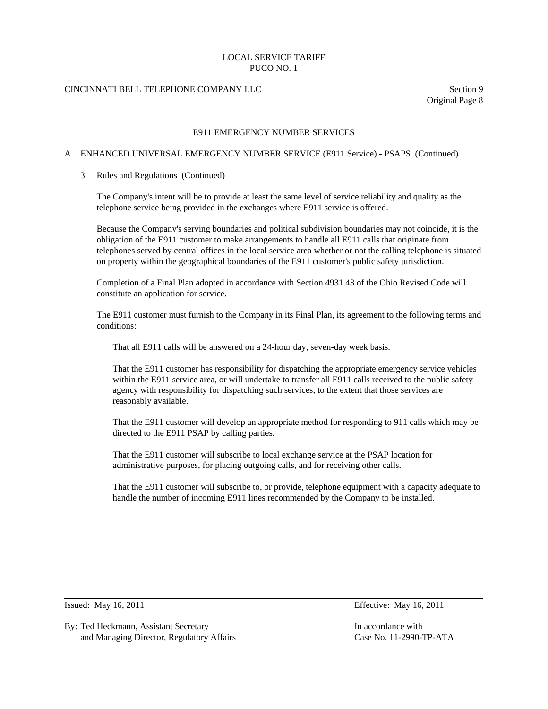# CINCINNATI BELL TELEPHONE COMPANY LLC Section 9

Original Page 8

### E911 EMERGENCY NUMBER SERVICES

### A. ENHANCED UNIVERSAL EMERGENCY NUMBER SERVICE (E911 Service) - PSAPS (Continued)

#### 3. Rules and Regulations (Continued)

 The Company's intent will be to provide at least the same level of service reliability and quality as the telephone service being provided in the exchanges where E911 service is offered.

 Because the Company's serving boundaries and political subdivision boundaries may not coincide, it is the obligation of the E911 customer to make arrangements to handle all E911 calls that originate from telephones served by central offices in the local service area whether or not the calling telephone is situated on property within the geographical boundaries of the E911 customer's public safety jurisdiction.

 Completion of a Final Plan adopted in accordance with Section 4931.43 of the Ohio Revised Code will constitute an application for service.

 The E911 customer must furnish to the Company in its Final Plan, its agreement to the following terms and conditions:

That all E911 calls will be answered on a 24-hour day, seven-day week basis.

 That the E911 customer has responsibility for dispatching the appropriate emergency service vehicles within the E911 service area, or will undertake to transfer all E911 calls received to the public safety agency with responsibility for dispatching such services, to the extent that those services are reasonably available.

 That the E911 customer will develop an appropriate method for responding to 911 calls which may be directed to the E911 PSAP by calling parties.

 That the E911 customer will subscribe to local exchange service at the PSAP location for administrative purposes, for placing outgoing calls, and for receiving other calls.

 That the E911 customer will subscribe to, or provide, telephone equipment with a capacity adequate to handle the number of incoming E911 lines recommended by the Company to be installed.

 $\overline{a}$ 

Issued: May 16, 2011 Effective: May 16, 2011

By: Ted Heckmann, Assistant Secretary **In accordance with** In accordance with and Managing Director, Regulatory Affairs Case No. 11-2990-TP-ATA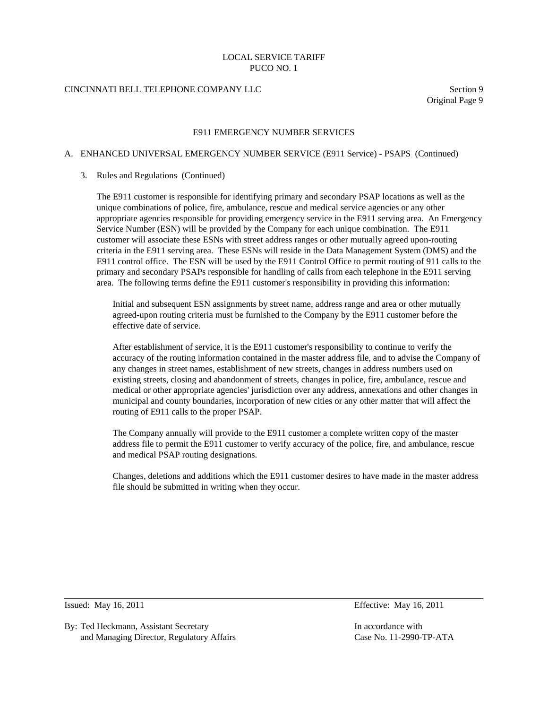# CINCINNATI BELL TELEPHONE COMPANY LLC Section 9

Original Page 9

### E911 EMERGENCY NUMBER SERVICES

#### A. ENHANCED UNIVERSAL EMERGENCY NUMBER SERVICE (E911 Service) - PSAPS (Continued)

#### 3. Rules and Regulations (Continued)

 The E911 customer is responsible for identifying primary and secondary PSAP locations as well as the unique combinations of police, fire, ambulance, rescue and medical service agencies or any other appropriate agencies responsible for providing emergency service in the E911 serving area. An Emergency Service Number (ESN) will be provided by the Company for each unique combination. The E911 customer will associate these ESNs with street address ranges or other mutually agreed upon-routing criteria in the E911 serving area. These ESNs will reside in the Data Management System (DMS) and the E911 control office. The ESN will be used by the E911 Control Office to permit routing of 911 calls to the primary and secondary PSAPs responsible for handling of calls from each telephone in the E911 serving area. The following terms define the E911 customer's responsibility in providing this information:

 Initial and subsequent ESN assignments by street name, address range and area or other mutually agreed-upon routing criteria must be furnished to the Company by the E911 customer before the effective date of service.

 After establishment of service, it is the E911 customer's responsibility to continue to verify the accuracy of the routing information contained in the master address file, and to advise the Company of any changes in street names, establishment of new streets, changes in address numbers used on existing streets, closing and abandonment of streets, changes in police, fire, ambulance, rescue and medical or other appropriate agencies' jurisdiction over any address, annexations and other changes in municipal and county boundaries, incorporation of new cities or any other matter that will affect the routing of E911 calls to the proper PSAP.

 The Company annually will provide to the E911 customer a complete written copy of the master address file to permit the E911 customer to verify accuracy of the police, fire, and ambulance, rescue and medical PSAP routing designations.

 Changes, deletions and additions which the E911 customer desires to have made in the master address file should be submitted in writing when they occur.

l

By: Ted Heckmann, Assistant Secretary **In accordance with** In accordance with and Managing Director, Regulatory Affairs Case No. 11-2990-TP-ATA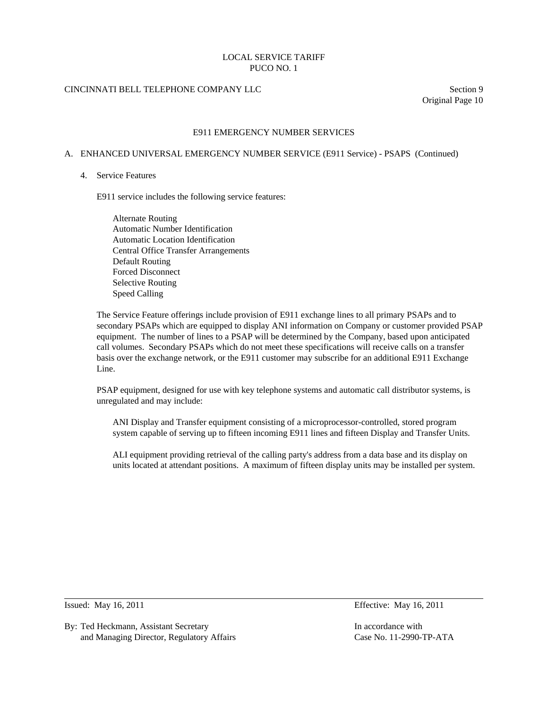# CINCINNATI BELL TELEPHONE COMPANY LLC Section 9

Original Page 10

### E911 EMERGENCY NUMBER SERVICES

### A. ENHANCED UNIVERSAL EMERGENCY NUMBER SERVICE (E911 Service) - PSAPS (Continued)

#### 4. Service Features

E911 service includes the following service features:

 Alternate Routing Automatic Number Identification Automatic Location Identification Central Office Transfer Arrangements Default Routing Forced Disconnect Selective Routing Speed Calling

 The Service Feature offerings include provision of E911 exchange lines to all primary PSAPs and to secondary PSAPs which are equipped to display ANI information on Company or customer provided PSAP equipment. The number of lines to a PSAP will be determined by the Company, based upon anticipated call volumes. Secondary PSAPs which do not meet these specifications will receive calls on a transfer basis over the exchange network, or the E911 customer may subscribe for an additional E911 Exchange Line.

 PSAP equipment, designed for use with key telephone systems and automatic call distributor systems, is unregulated and may include:

 ANI Display and Transfer equipment consisting of a microprocessor-controlled, stored program system capable of serving up to fifteen incoming E911 lines and fifteen Display and Transfer Units.

 ALI equipment providing retrieval of the calling party's address from a data base and its display on units located at attendant positions. A maximum of fifteen display units may be installed per system.

 $\overline{a}$ 

By: Ted Heckmann, Assistant Secretary **In accordance with** In accordance with and Managing Director, Regulatory Affairs Case No. 11-2990-TP-ATA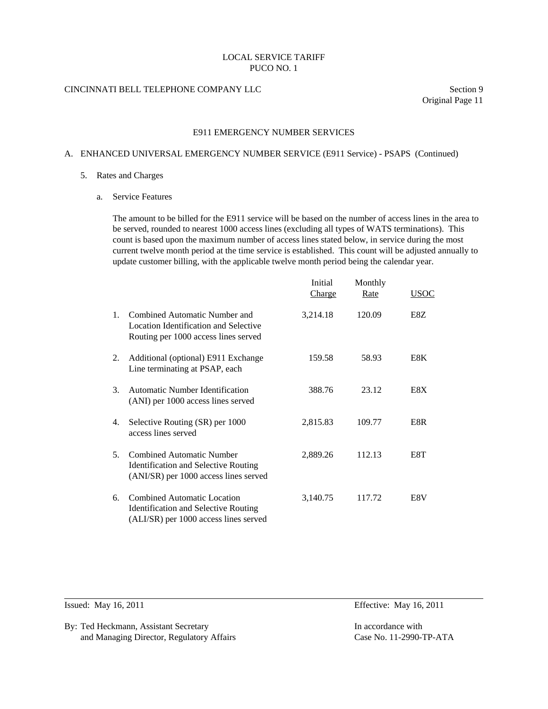## CINCINNATI BELL TELEPHONE COMPANY LLC Section 9

Original Page 11

### E911 EMERGENCY NUMBER SERVICES

### A. ENHANCED UNIVERSAL EMERGENCY NUMBER SERVICE (E911 Service) - PSAPS (Continued)

#### 5. Rates and Charges

a. Service Features

 The amount to be billed for the E911 service will be based on the number of access lines in the area to be served, rounded to nearest 1000 access lines (excluding all types of WATS terminations). This count is based upon the maximum number of access lines stated below, in service during the most current twelve month period at the time service is established. This count will be adjusted annually to update customer billing, with the applicable twelve month period being the calendar year.

|                |                                                                                                                            | Initial<br><b>Charge</b> | Monthly<br>Rate | USOC |
|----------------|----------------------------------------------------------------------------------------------------------------------------|--------------------------|-----------------|------|
| $1_{-}$        | Combined Automatic Number and<br>Location Identification and Selective<br>Routing per 1000 access lines served             | 3,214.18                 | 120.09          | E8Z  |
| 2.             | Additional (optional) E911 Exchange<br>Line terminating at PSAP, each                                                      | 159.58                   | 58.93           | E8K  |
| 3.             | Automatic Number Identification<br>(ANI) per 1000 access lines served                                                      | 388.76                   | 23.12           | E8X  |
| 4.             | Selective Routing (SR) per 1000<br>access lines served                                                                     | 2,815.83                 | 109.77          | E8R  |
| 5 <sub>1</sub> | <b>Combined Automatic Number</b><br><b>Identification and Selective Routing</b><br>(ANI/SR) per 1000 access lines served   | 2,889.26                 | 112.13          | E8T  |
| 6.             | <b>Combined Automatic Location</b><br><b>Identification and Selective Routing</b><br>(ALI/SR) per 1000 access lines served | 3,140.75                 | 117.72          | E8V  |

l

By: Ted Heckmann, Assistant Secretary **In accordance with** In accordance with and Managing Director, Regulatory Affairs Case No. 11-2990-TP-ATA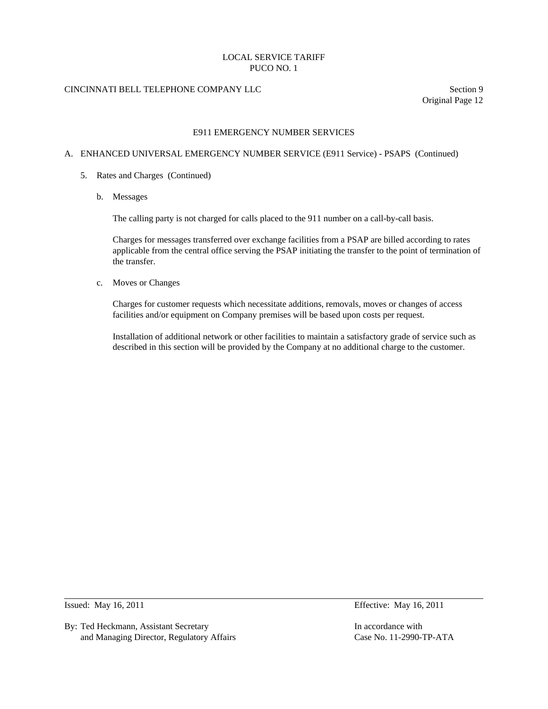# CINCINNATI BELL TELEPHONE COMPANY LLC Section 9

Original Page 12

### E911 EMERGENCY NUMBER SERVICES

### A. ENHANCED UNIVERSAL EMERGENCY NUMBER SERVICE (E911 Service) - PSAPS (Continued)

### 5. Rates and Charges (Continued)

b. Messages

The calling party is not charged for calls placed to the 911 number on a call-by-call basis.

 Charges for messages transferred over exchange facilities from a PSAP are billed according to rates applicable from the central office serving the PSAP initiating the transfer to the point of termination of the transfer.

c. Moves or Changes

 Charges for customer requests which necessitate additions, removals, moves or changes of access facilities and/or equipment on Company premises will be based upon costs per request.

 Installation of additional network or other facilities to maintain a satisfactory grade of service such as described in this section will be provided by the Company at no additional charge to the customer.

 $\overline{a}$ 

By: Ted Heckmann, Assistant Secretary **In accordance with** In accordance with and Managing Director, Regulatory Affairs Case No. 11-2990-TP-ATA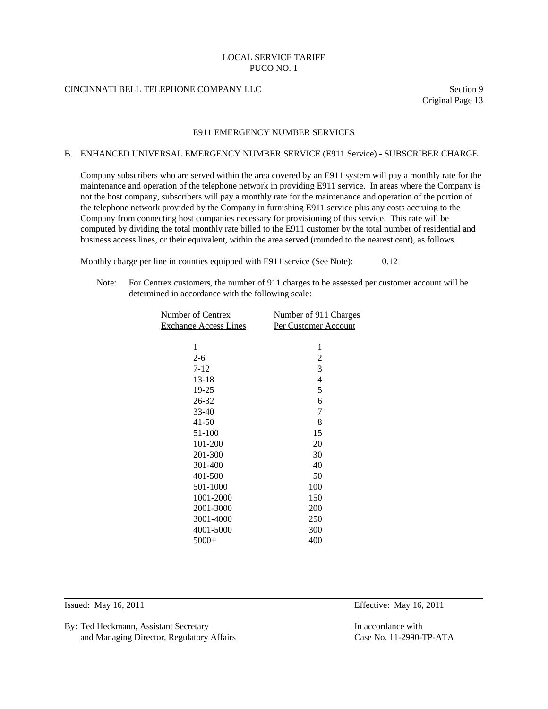## CINCINNATI BELL TELEPHONE COMPANY LLC Section 9

Original Page 13

### E911 EMERGENCY NUMBER SERVICES

#### B. ENHANCED UNIVERSAL EMERGENCY NUMBER SERVICE (E911 Service) - SUBSCRIBER CHARGE

 Company subscribers who are served within the area covered by an E911 system will pay a monthly rate for the maintenance and operation of the telephone network in providing E911 service. In areas where the Company is not the host company, subscribers will pay a monthly rate for the maintenance and operation of the portion of the telephone network provided by the Company in furnishing E911 service plus any costs accruing to the Company from connecting host companies necessary for provisioning of this service. This rate will be computed by dividing the total monthly rate billed to the E911 customer by the total number of residential and business access lines, or their equivalent, within the area served (rounded to the nearest cent), as follows.

Monthly charge per line in counties equipped with E911 service (See Note): 0.12

 Note: For Centrex customers, the number of 911 charges to be assessed per customer account will be determined in accordance with the following scale:

| Number of Centrex            | Number of 911 Charges |
|------------------------------|-----------------------|
| <b>Exchange Access Lines</b> | Per Customer Account  |
|                              |                       |
| 1                            | 1                     |
| $2 - 6$                      | $\overline{2}$        |
| $7-12$                       | 3                     |
| $13-18$                      | 4                     |
| 19-25                        | 5                     |
| 26-32                        | 6                     |
| 33-40                        | 7                     |
| $41 - 50$                    | 8                     |
| 51-100                       | 15                    |
| 101-200                      | 20                    |
| 201-300                      | 30                    |
| 301-400                      | 40                    |
| 401-500                      | 50                    |
| 501-1000                     | 100                   |
| 1001-2000                    | 150                   |
| 2001-3000                    | 200                   |
| 3001-4000                    | 250                   |
| 4001-5000                    | 300                   |
| $5000+$                      | 400                   |
|                              |                       |

l

Issued: May 16, 2011 Effective: May 16, 2011

By: Ted Heckmann, Assistant Secretary **In accordance with** In accordance with and Managing Director, Regulatory Affairs Case No. 11-2990-TP-ATA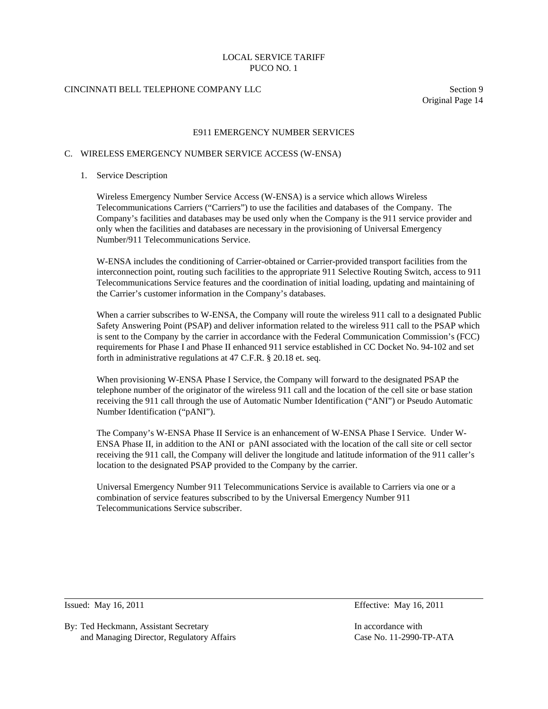# CINCINNATI BELL TELEPHONE COMPANY LLC Section 9

Original Page 14

### E911 EMERGENCY NUMBER SERVICES

#### C. WIRELESS EMERGENCY NUMBER SERVICE ACCESS (W-ENSA)

#### 1. Service Description

 Wireless Emergency Number Service Access (W-ENSA) is a service which allows Wireless Telecommunications Carriers ("Carriers") to use the facilities and databases of the Company. The Company's facilities and databases may be used only when the Company is the 911 service provider and only when the facilities and databases are necessary in the provisioning of Universal Emergency Number/911 Telecommunications Service.

 W-ENSA includes the conditioning of Carrier-obtained or Carrier-provided transport facilities from the interconnection point, routing such facilities to the appropriate 911 Selective Routing Switch, access to 911 Telecommunications Service features and the coordination of initial loading, updating and maintaining of the Carrier's customer information in the Company's databases.

When a carrier subscribes to W-ENSA, the Company will route the wireless 911 call to a designated Public Safety Answering Point (PSAP) and deliver information related to the wireless 911 call to the PSAP which is sent to the Company by the carrier in accordance with the Federal Communication Commission's (FCC) requirements for Phase I and Phase II enhanced 911 service established in CC Docket No. 94-102 and set forth in administrative regulations at 47 C.F.R. § 20.18 et. seq.

 When provisioning W-ENSA Phase I Service, the Company will forward to the designated PSAP the telephone number of the originator of the wireless 911 call and the location of the cell site or base station receiving the 911 call through the use of Automatic Number Identification ("ANI") or Pseudo Automatic Number Identification ("pANI").

 The Company's W-ENSA Phase II Service is an enhancement of W-ENSA Phase I Service. Under W-ENSA Phase II, in addition to the ANI or pANI associated with the location of the call site or cell sector receiving the 911 call, the Company will deliver the longitude and latitude information of the 911 caller's location to the designated PSAP provided to the Company by the carrier.

 Universal Emergency Number 911 Telecommunications Service is available to Carriers via one or a combination of service features subscribed to by the Universal Emergency Number 911 Telecommunications Service subscriber.

 $\overline{a}$ 

Issued: May 16, 2011 Effective: May 16, 2011

By: Ted Heckmann, Assistant Secretary **In accordance with** In accordance with and Managing Director, Regulatory Affairs Case No. 11-2990-TP-ATA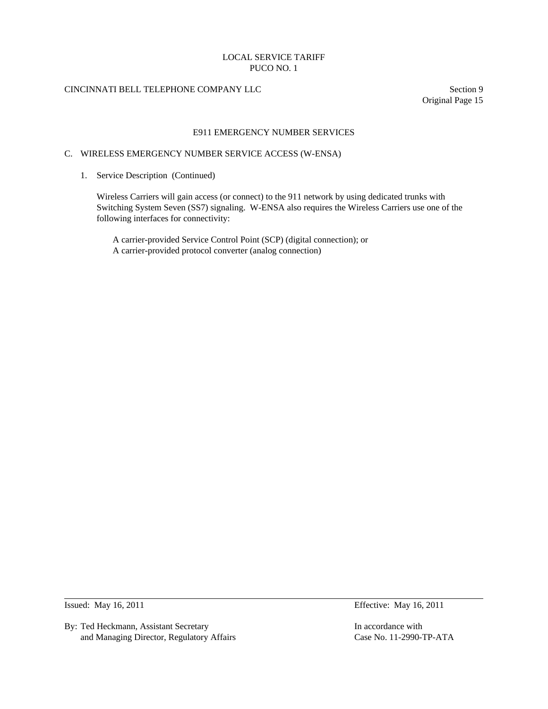# CINCINNATI BELL TELEPHONE COMPANY LLC Section 9

Original Page 15

### E911 EMERGENCY NUMBER SERVICES

#### C. WIRELESS EMERGENCY NUMBER SERVICE ACCESS (W-ENSA)

1. Service Description (Continued)

 Wireless Carriers will gain access (or connect) to the 911 network by using dedicated trunks with Switching System Seven (SS7) signaling. W-ENSA also requires the Wireless Carriers use one of the following interfaces for connectivity:

 A carrier-provided Service Control Point (SCP) (digital connection); or A carrier-provided protocol converter (analog connection)

 $\overline{a}$ 

By: Ted Heckmann, Assistant Secretary **In accordance with** In accordance with and Managing Director, Regulatory Affairs Case No. 11-2990-TP-ATA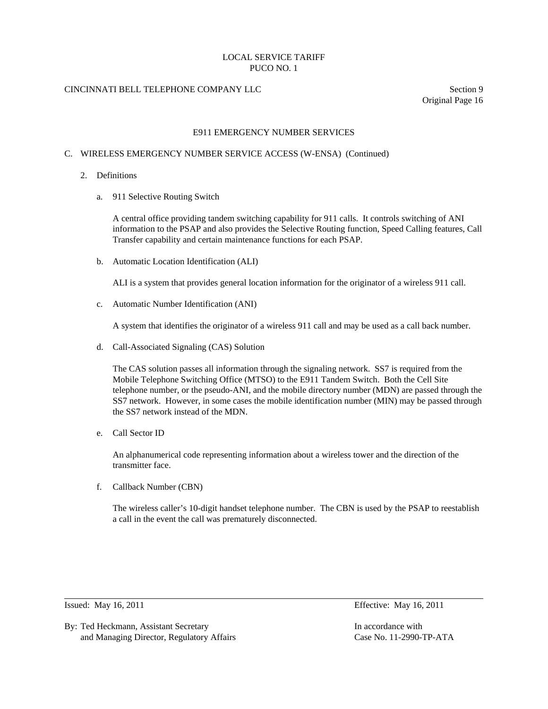# CINCINNATI BELL TELEPHONE COMPANY LLC Section 9

Original Page 16

### E911 EMERGENCY NUMBER SERVICES

### C. WIRELESS EMERGENCY NUMBER SERVICE ACCESS (W-ENSA) (Continued)

- 2. Definitions
	- a. 911 Selective Routing Switch

 A central office providing tandem switching capability for 911 calls. It controls switching of ANI information to the PSAP and also provides the Selective Routing function, Speed Calling features, Call Transfer capability and certain maintenance functions for each PSAP.

b. Automatic Location Identification (ALI)

ALI is a system that provides general location information for the originator of a wireless 911 call.

c. Automatic Number Identification (ANI)

A system that identifies the originator of a wireless 911 call and may be used as a call back number.

d. Call-Associated Signaling (CAS) Solution

 The CAS solution passes all information through the signaling network. SS7 is required from the Mobile Telephone Switching Office (MTSO) to the E911 Tandem Switch. Both the Cell Site telephone number, or the pseudo-ANI, and the mobile directory number (MDN) are passed through the SS7 network. However, in some cases the mobile identification number (MIN) may be passed through the SS7 network instead of the MDN.

e. Call Sector ID

 An alphanumerical code representing information about a wireless tower and the direction of the transmitter face.

f. Callback Number (CBN)

 The wireless caller's 10-digit handset telephone number. The CBN is used by the PSAP to reestablish a call in the event the call was prematurely disconnected.

Issued: May 16, 2011 Effective: May 16, 2011

 $\overline{a}$ 

By: Ted Heckmann, Assistant Secretary **In accordance with** In accordance with and Managing Director, Regulatory Affairs Case No. 11-2990-TP-ATA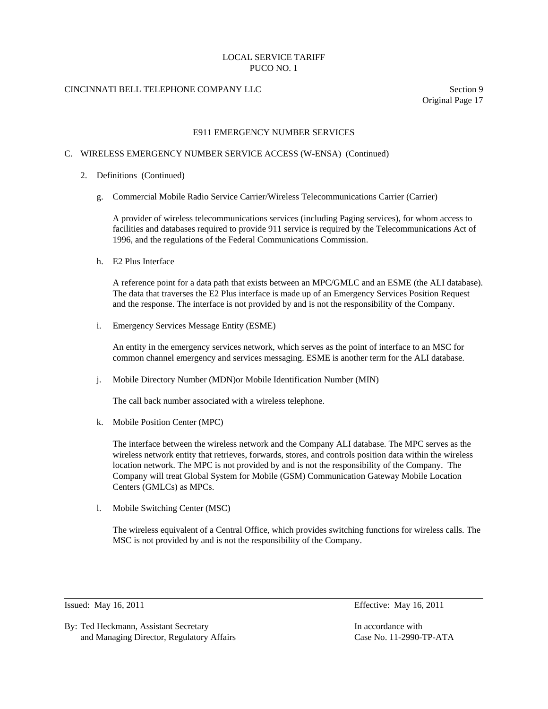# CINCINNATI BELL TELEPHONE COMPANY LLC Section 9

Original Page 17

### E911 EMERGENCY NUMBER SERVICES

### C. WIRELESS EMERGENCY NUMBER SERVICE ACCESS (W-ENSA) (Continued)

- 2. Definitions (Continued)
	- g. Commercial Mobile Radio Service Carrier/Wireless Telecommunications Carrier (Carrier)

 A provider of wireless telecommunications services (including Paging services), for whom access to facilities and databases required to provide 911 service is required by the Telecommunications Act of 1996, and the regulations of the Federal Communications Commission.

h. E2 Plus Interface

 A reference point for a data path that exists between an MPC/GMLC and an ESME (the ALI database). The data that traverses the E2 Plus interface is made up of an Emergency Services Position Request and the response. The interface is not provided by and is not the responsibility of the Company.

i. Emergency Services Message Entity (ESME)

 An entity in the emergency services network, which serves as the point of interface to an MSC for common channel emergency and services messaging. ESME is another term for the ALI database.

j. Mobile Directory Number (MDN)or Mobile Identification Number (MIN)

The call back number associated with a wireless telephone.

k. Mobile Position Center (MPC)

 The interface between the wireless network and the Company ALI database. The MPC serves as the wireless network entity that retrieves, forwards, stores, and controls position data within the wireless location network. The MPC is not provided by and is not the responsibility of the Company. The Company will treat Global System for Mobile (GSM) Communication Gateway Mobile Location Centers (GMLCs) as MPCs.

l. Mobile Switching Center (MSC)

 The wireless equivalent of a Central Office, which provides switching functions for wireless calls. The MSC is not provided by and is not the responsibility of the Company.

 $\overline{a}$ 

Issued: May 16, 2011 Effective: May 16, 2011

By: Ted Heckmann, Assistant Secretary In accordance with In accordance with and Managing Director, Regulatory Affairs Case No. 11-2990-TP-ATA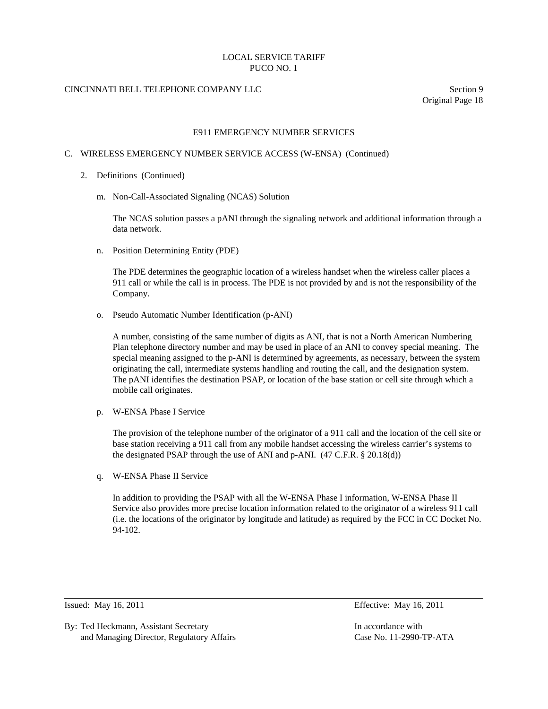# CINCINNATI BELL TELEPHONE COMPANY LLC Section 9

Original Page 18

### E911 EMERGENCY NUMBER SERVICES

#### C. WIRELESS EMERGENCY NUMBER SERVICE ACCESS (W-ENSA) (Continued)

- 2. Definitions (Continued)
	- m. Non-Call-Associated Signaling (NCAS) Solution

 The NCAS solution passes a pANI through the signaling network and additional information through a data network.

n. Position Determining Entity (PDE)

 The PDE determines the geographic location of a wireless handset when the wireless caller places a 911 call or while the call is in process. The PDE is not provided by and is not the responsibility of the Company.

o. Pseudo Automatic Number Identification (p-ANI)

 A number, consisting of the same number of digits as ANI, that is not a North American Numbering Plan telephone directory number and may be used in place of an ANI to convey special meaning. The special meaning assigned to the p-ANI is determined by agreements, as necessary, between the system originating the call, intermediate systems handling and routing the call, and the designation system. The pANI identifies the destination PSAP, or location of the base station or cell site through which a mobile call originates.

p. W-ENSA Phase I Service

 The provision of the telephone number of the originator of a 911 call and the location of the cell site or base station receiving a 911 call from any mobile handset accessing the wireless carrier's systems to the designated PSAP through the use of ANI and p-ANI. (47 C.F.R. § 20.18(d))

q. W-ENSA Phase II Service

 In addition to providing the PSAP with all the W-ENSA Phase I information, W-ENSA Phase II Service also provides more precise location information related to the originator of a wireless 911 call (i.e. the locations of the originator by longitude and latitude) as required by the FCC in CC Docket No. 94-102.

l

By: Ted Heckmann, Assistant Secretary **In accordance with** In accordance with and Managing Director, Regulatory Affairs Case No. 11-2990-TP-ATA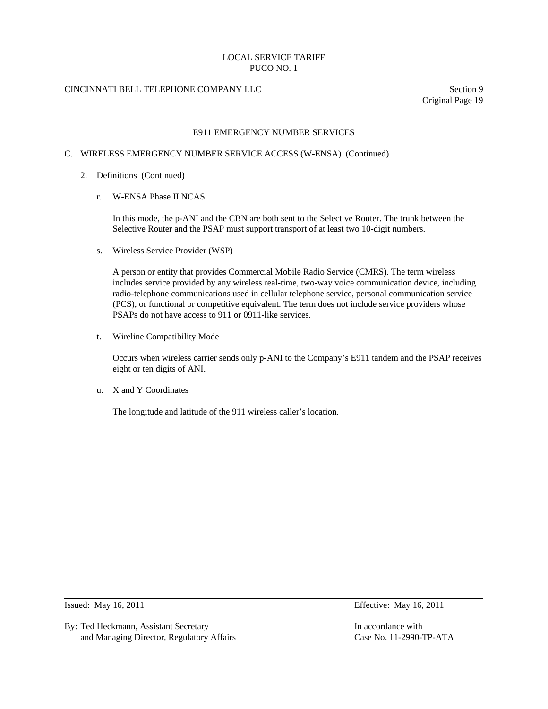# CINCINNATI BELL TELEPHONE COMPANY LLC Section 9

Original Page 19

### E911 EMERGENCY NUMBER SERVICES

### C. WIRELESS EMERGENCY NUMBER SERVICE ACCESS (W-ENSA) (Continued)

- 2. Definitions (Continued)
	- r. W-ENSA Phase II NCAS

 In this mode, the p-ANI and the CBN are both sent to the Selective Router. The trunk between the Selective Router and the PSAP must support transport of at least two 10-digit numbers.

s. Wireless Service Provider (WSP)

 A person or entity that provides Commercial Mobile Radio Service (CMRS). The term wireless includes service provided by any wireless real-time, two-way voice communication device, including radio-telephone communications used in cellular telephone service, personal communication service (PCS), or functional or competitive equivalent. The term does not include service providers whose PSAPs do not have access to 911 or 0911-like services.

t. Wireline Compatibility Mode

 Occurs when wireless carrier sends only p-ANI to the Company's E911 tandem and the PSAP receives eight or ten digits of ANI.

u. X and Y Coordinates

The longitude and latitude of the 911 wireless caller's location.

 $\overline{a}$ 

By: Ted Heckmann, Assistant Secretary **In accordance with** In accordance with and Managing Director, Regulatory Affairs Case No. 11-2990-TP-ATA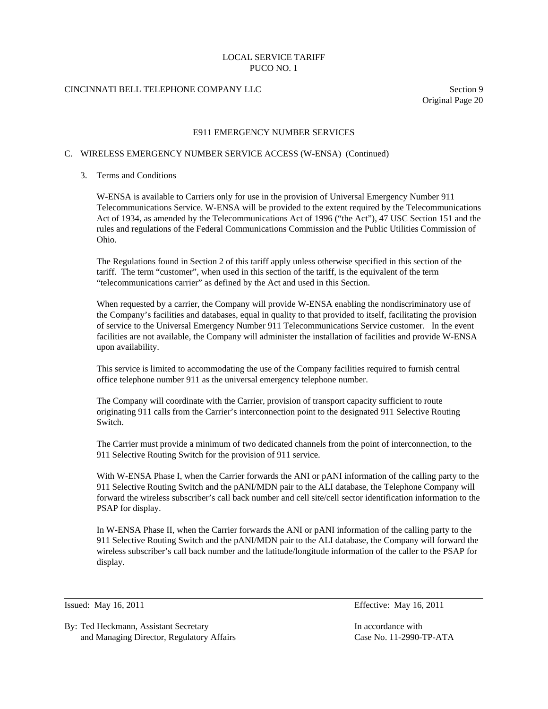# CINCINNATI BELL TELEPHONE COMPANY LLC Section 9

Original Page 20

### E911 EMERGENCY NUMBER SERVICES

#### C. WIRELESS EMERGENCY NUMBER SERVICE ACCESS (W-ENSA) (Continued)

### 3. Terms and Conditions

 W-ENSA is available to Carriers only for use in the provision of Universal Emergency Number 911 Telecommunications Service. W-ENSA will be provided to the extent required by the Telecommunications Act of 1934, as amended by the Telecommunications Act of 1996 ("the Act"), 47 USC Section 151 and the rules and regulations of the Federal Communications Commission and the Public Utilities Commission of Ohio.

 The Regulations found in Section 2 of this tariff apply unless otherwise specified in this section of the tariff. The term "customer", when used in this section of the tariff, is the equivalent of the term "telecommunications carrier" as defined by the Act and used in this Section.

 When requested by a carrier, the Company will provide W-ENSA enabling the nondiscriminatory use of the Company's facilities and databases, equal in quality to that provided to itself, facilitating the provision of service to the Universal Emergency Number 911 Telecommunications Service customer. In the event facilities are not available, the Company will administer the installation of facilities and provide W-ENSA upon availability.

 This service is limited to accommodating the use of the Company facilities required to furnish central office telephone number 911 as the universal emergency telephone number.

 The Company will coordinate with the Carrier, provision of transport capacity sufficient to route originating 911 calls from the Carrier's interconnection point to the designated 911 Selective Routing Switch.

 The Carrier must provide a minimum of two dedicated channels from the point of interconnection, to the 911 Selective Routing Switch for the provision of 911 service.

 With W-ENSA Phase I, when the Carrier forwards the ANI or pANI information of the calling party to the 911 Selective Routing Switch and the pANI/MDN pair to the ALI database, the Telephone Company will forward the wireless subscriber's call back number and cell site/cell sector identification information to the PSAP for display.

 In W-ENSA Phase II, when the Carrier forwards the ANI or pANI information of the calling party to the 911 Selective Routing Switch and the pANI/MDN pair to the ALI database, the Company will forward the wireless subscriber's call back number and the latitude/longitude information of the caller to the PSAP for display.

 $\overline{a}$ 

By: Ted Heckmann, Assistant Secretary In accordance with In accordance with and Managing Director, Regulatory Affairs Case No. 11-2990-TP-ATA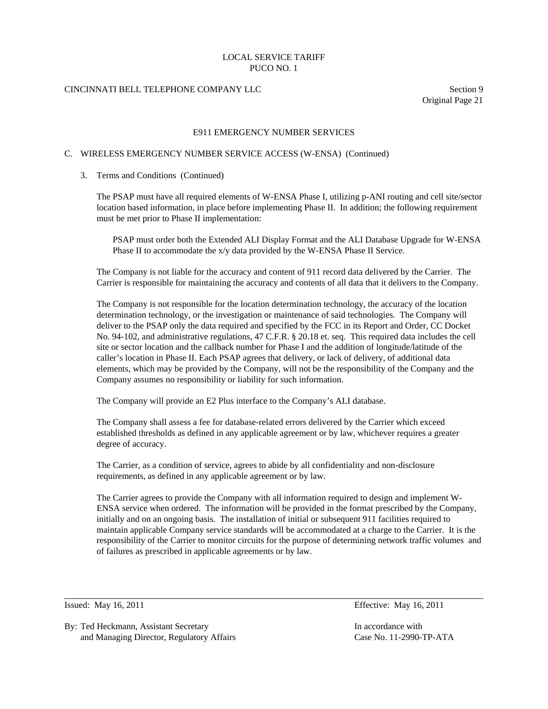# CINCINNATI BELL TELEPHONE COMPANY LLC Section 9

Original Page 21

### E911 EMERGENCY NUMBER SERVICES

#### C. WIRELESS EMERGENCY NUMBER SERVICE ACCESS (W-ENSA) (Continued)

#### 3. Terms and Conditions (Continued)

 The PSAP must have all required elements of W-ENSA Phase I, utilizing p-ANI routing and cell site/sector location based information, in place before implementing Phase II. In addition; the following requirement must be met prior to Phase II implementation:

 PSAP must order both the Extended ALI Display Format and the ALI Database Upgrade for W-ENSA Phase II to accommodate the x/y data provided by the W-ENSA Phase II Service.

 The Company is not liable for the accuracy and content of 911 record data delivered by the Carrier. The Carrier is responsible for maintaining the accuracy and contents of all data that it delivers to the Company.

 The Company is not responsible for the location determination technology, the accuracy of the location determination technology, or the investigation or maintenance of said technologies. The Company will deliver to the PSAP only the data required and specified by the FCC in its Report and Order, CC Docket No. 94-102, and administrative regulations, 47 C.F.R. § 20.18 et. seq. This required data includes the cell site or sector location and the callback number for Phase I and the addition of longitude/latitude of the caller's location in Phase II. Each PSAP agrees that delivery, or lack of delivery, of additional data elements, which may be provided by the Company, will not be the responsibility of the Company and the Company assumes no responsibility or liability for such information.

The Company will provide an E2 Plus interface to the Company's ALI database.

 The Company shall assess a fee for database-related errors delivered by the Carrier which exceed established thresholds as defined in any applicable agreement or by law, whichever requires a greater degree of accuracy.

 The Carrier, as a condition of service, agrees to abide by all confidentiality and non-disclosure requirements, as defined in any applicable agreement or by law.

 The Carrier agrees to provide the Company with all information required to design and implement W-ENSA service when ordered. The information will be provided in the format prescribed by the Company, initially and on an ongoing basis. The installation of initial or subsequent 911 facilities required to maintain applicable Company service standards will be accommodated at a charge to the Carrier. It is the responsibility of the Carrier to monitor circuits for the purpose of determining network traffic volumes and of failures as prescribed in applicable agreements or by law.

 $\overline{a}$ 

Issued: May 16, 2011 Effective: May 16, 2011

By: Ted Heckmann, Assistant Secretary In accordance with In accordance with and Managing Director, Regulatory Affairs Case No. 11-2990-TP-ATA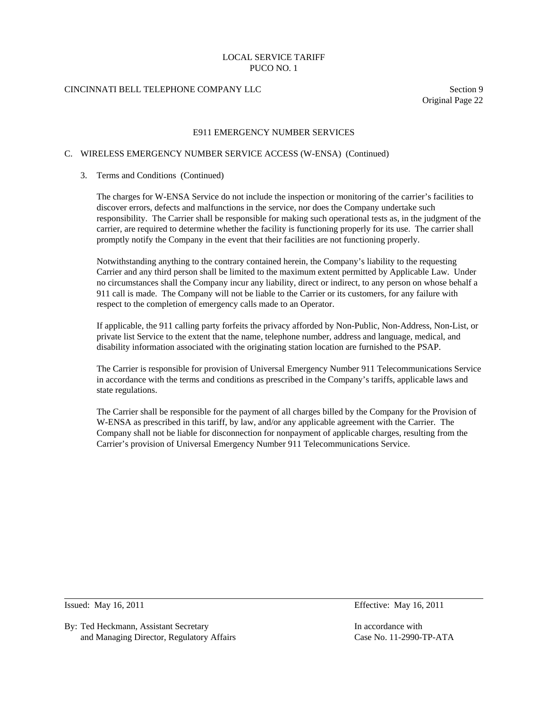# CINCINNATI BELL TELEPHONE COMPANY LLC Section 9

Original Page 22

### E911 EMERGENCY NUMBER SERVICES

### C. WIRELESS EMERGENCY NUMBER SERVICE ACCESS (W-ENSA) (Continued)

#### 3. Terms and Conditions (Continued)

 The charges for W-ENSA Service do not include the inspection or monitoring of the carrier's facilities to discover errors, defects and malfunctions in the service, nor does the Company undertake such responsibility. The Carrier shall be responsible for making such operational tests as, in the judgment of the carrier, are required to determine whether the facility is functioning properly for its use. The carrier shall promptly notify the Company in the event that their facilities are not functioning properly.

 Notwithstanding anything to the contrary contained herein, the Company's liability to the requesting Carrier and any third person shall be limited to the maximum extent permitted by Applicable Law. Under no circumstances shall the Company incur any liability, direct or indirect, to any person on whose behalf a 911 call is made. The Company will not be liable to the Carrier or its customers, for any failure with respect to the completion of emergency calls made to an Operator.

 If applicable, the 911 calling party forfeits the privacy afforded by Non-Public, Non-Address, Non-List, or private list Service to the extent that the name, telephone number, address and language, medical, and disability information associated with the originating station location are furnished to the PSAP.

 The Carrier is responsible for provision of Universal Emergency Number 911 Telecommunications Service in accordance with the terms and conditions as prescribed in the Company's tariffs, applicable laws and state regulations.

 The Carrier shall be responsible for the payment of all charges billed by the Company for the Provision of W-ENSA as prescribed in this tariff, by law, and/or any applicable agreement with the Carrier. The Company shall not be liable for disconnection for nonpayment of applicable charges, resulting from the Carrier's provision of Universal Emergency Number 911 Telecommunications Service.

 $\overline{a}$ 

By: Ted Heckmann, Assistant Secretary **In accordance with** In accordance with and Managing Director, Regulatory Affairs Case No. 11-2990-TP-ATA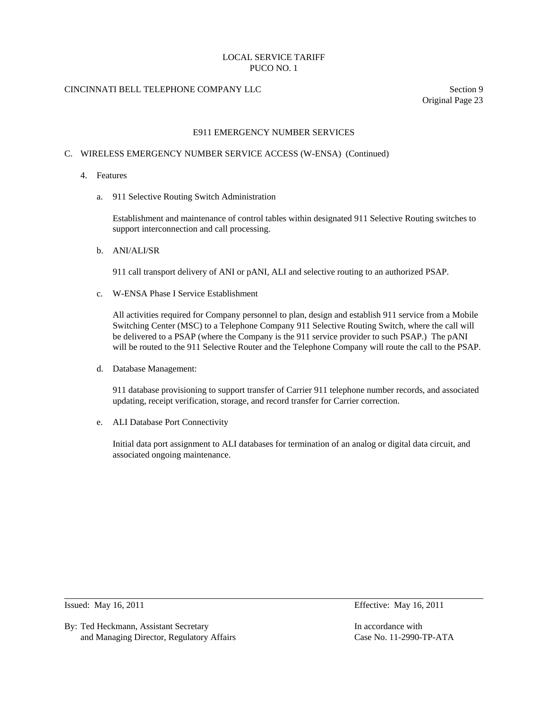# CINCINNATI BELL TELEPHONE COMPANY LLC Section 9

Original Page 23

### E911 EMERGENCY NUMBER SERVICES

#### C. WIRELESS EMERGENCY NUMBER SERVICE ACCESS (W-ENSA) (Continued)

- 4. Features
	- a. 911 Selective Routing Switch Administration

 Establishment and maintenance of control tables within designated 911 Selective Routing switches to support interconnection and call processing.

b. ANI/ALI/SR

911 call transport delivery of ANI or pANI, ALI and selective routing to an authorized PSAP.

c. W-ENSA Phase I Service Establishment

 All activities required for Company personnel to plan, design and establish 911 service from a Mobile Switching Center (MSC) to a Telephone Company 911 Selective Routing Switch, where the call will be delivered to a PSAP (where the Company is the 911 service provider to such PSAP.) The pANI will be routed to the 911 Selective Router and the Telephone Company will route the call to the PSAP.

d. Database Management:

 911 database provisioning to support transfer of Carrier 911 telephone number records, and associated updating, receipt verification, storage, and record transfer for Carrier correction.

e. ALI Database Port Connectivity

 Initial data port assignment to ALI databases for termination of an analog or digital data circuit, and associated ongoing maintenance.

 $\overline{a}$ 

By: Ted Heckmann, Assistant Secretary **In accordance with** In accordance with and Managing Director, Regulatory Affairs Case No. 11-2990-TP-ATA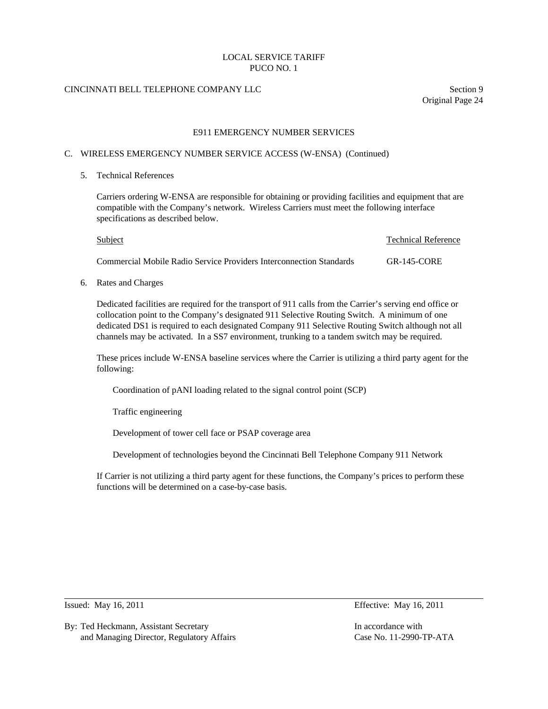# CINCINNATI BELL TELEPHONE COMPANY LLC Section 9

Original Page 24

### E911 EMERGENCY NUMBER SERVICES

#### C. WIRELESS EMERGENCY NUMBER SERVICE ACCESS (W-ENSA) (Continued)

5. Technical References

 Carriers ordering W-ENSA are responsible for obtaining or providing facilities and equipment that are compatible with the Company's network. Wireless Carriers must meet the following interface specifications as described below.

| <b>Subject</b>                                                      | <b>Technical Reference</b> |
|---------------------------------------------------------------------|----------------------------|
| Commercial Mobile Radio Service Providers Interconnection Standards | $GR-145-CORE$              |

6. Rates and Charges

 Dedicated facilities are required for the transport of 911 calls from the Carrier's serving end office or collocation point to the Company's designated 911 Selective Routing Switch. A minimum of one dedicated DS1 is required to each designated Company 911 Selective Routing Switch although not all channels may be activated. In a SS7 environment, trunking to a tandem switch may be required.

 These prices include W-ENSA baseline services where the Carrier is utilizing a third party agent for the following:

Coordination of pANI loading related to the signal control point (SCP)

Traffic engineering

Development of tower cell face or PSAP coverage area

Development of technologies beyond the Cincinnati Bell Telephone Company 911 Network

 If Carrier is not utilizing a third party agent for these functions, the Company's prices to perform these functions will be determined on a case-by-case basis.

 $\overline{a}$ 

Issued: May 16, 2011 Effective: May 16, 2011

By: Ted Heckmann, Assistant Secretary **In accordance with** In accordance with and Managing Director, Regulatory Affairs Case No. 11-2990-TP-ATA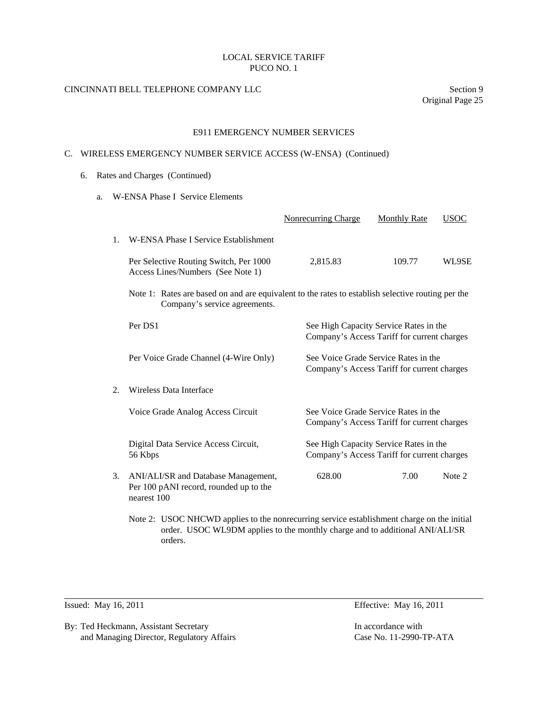# CINCINNATI BELL TELEPHONE COMPANY LLC Section 9

Original Page 25

### E911 EMERGENCY NUMBER SERVICES

### C. WIRELESS EMERGENCY NUMBER SERVICE ACCESS (W-ENSA) (Continued)

- 6. Rates and Charges (Continued)
	- a. W-ENSA Phase I Service Elements

|    |                                                                                                                                                                            | Nonrecurring Charge                                                                                                                                                          | <b>Monthly Rate</b>                                                                 | <b>USOC</b> |
|----|----------------------------------------------------------------------------------------------------------------------------------------------------------------------------|------------------------------------------------------------------------------------------------------------------------------------------------------------------------------|-------------------------------------------------------------------------------------|-------------|
| 1. | W-ENSA Phase I Service Establishment                                                                                                                                       |                                                                                                                                                                              |                                                                                     |             |
|    | Per Selective Routing Switch, Per 1000<br>Access Lines/Numbers (See Note 1)                                                                                                | 2,815.83                                                                                                                                                                     | 109.77                                                                              | WL9SE       |
|    | Company's service agreements.                                                                                                                                              | Note 1: Rates are based on and are equivalent to the rates to establish selective routing per the                                                                            |                                                                                     |             |
|    | Per DS1                                                                                                                                                                    | See High Capacity Service Rates in the<br>Company's Access Tariff for current charges                                                                                        |                                                                                     |             |
|    | Per Voice Grade Channel (4-Wire Only)                                                                                                                                      |                                                                                                                                                                              | See Voice Grade Service Rates in the<br>Company's Access Tariff for current charges |             |
| 2. | Wireless Data Interface                                                                                                                                                    |                                                                                                                                                                              |                                                                                     |             |
|    | Voice Grade Analog Access Circuit                                                                                                                                          | See Voice Grade Service Rates in the<br>Company's Access Tariff for current charges<br>See High Capacity Service Rates in the<br>Company's Access Tariff for current charges |                                                                                     |             |
|    | Digital Data Service Access Circuit,<br>56 Kbps                                                                                                                            |                                                                                                                                                                              |                                                                                     |             |
| 3. | ANI/ALI/SR and Database Management,<br>Per 100 pANI record, rounded up to the<br>nearest 100                                                                               | 628.00                                                                                                                                                                       | 7.00                                                                                | Note 2      |
|    | Note 2: USOC NHCWD applies to the nonrecurring service establishment charge on the initial<br>order. USOC WL9DM applies to the monthly charge and to additional ANI/ALI/SR |                                                                                                                                                                              |                                                                                     |             |

l

By: Ted Heckmann, Assistant Secretary In accordance with and Managing Director, Regulatory Affairs Case No. 11-2990-TP-ATA

orders.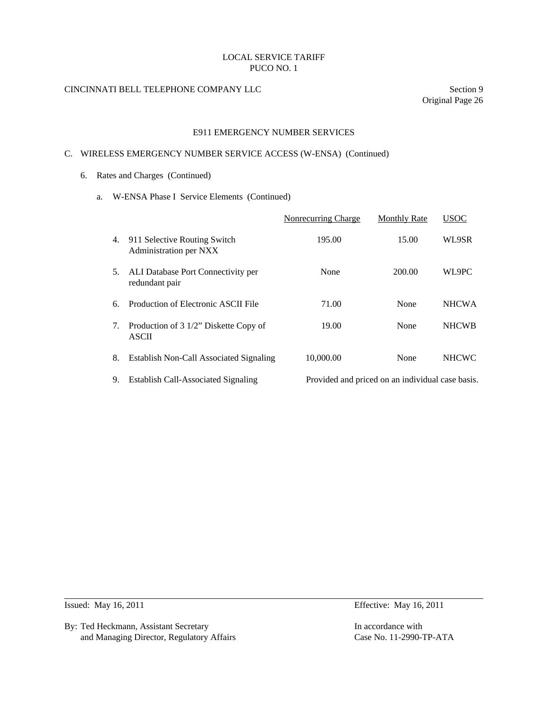# CINCINNATI BELL TELEPHONE COMPANY LLC Section 9

Original Page 26

### E911 EMERGENCY NUMBER SERVICES

### C. WIRELESS EMERGENCY NUMBER SERVICE ACCESS (W-ENSA) (Continued)

- 6. Rates and Charges (Continued)
	- a. W-ENSA Phase I Service Elements (Continued)

|    |                                                        | Nonrecurring Charge                              | <b>Monthly Rate</b> | <b>USOC</b>  |
|----|--------------------------------------------------------|--------------------------------------------------|---------------------|--------------|
| 4. | 911 Selective Routing Switch<br>Administration per NXX | 195.00                                           | 15.00               | WL9SR        |
| 5. | ALI Database Port Connectivity per<br>redundant pair   | None                                             | 200.00              | WL9PC        |
| б. | Production of Electronic ASCII File                    | 71.00                                            | None                | <b>NHCWA</b> |
| 7. | Production of 3 1/2" Diskette Copy of<br><b>ASCII</b>  | 19.00                                            | None                | <b>NHCWB</b> |
| 8. | <b>Establish Non-Call Associated Signaling</b>         | 10,000.00                                        | None                | <b>NHCWC</b> |
| 9. | <b>Establish Call-Associated Signaling</b>             | Provided and priced on an individual case basis. |                     |              |

l

By: Ted Heckmann, Assistant Secretary In accordance with and Managing Director, Regulatory Affairs Case No. 11-2990-TP-ATA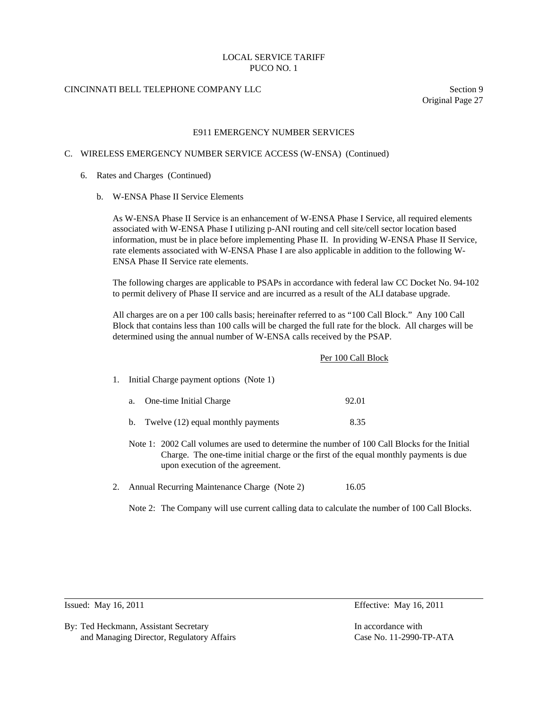# CINCINNATI BELL TELEPHONE COMPANY LLC Section 9

Original Page 27

### E911 EMERGENCY NUMBER SERVICES

### C. WIRELESS EMERGENCY NUMBER SERVICE ACCESS (W-ENSA) (Continued)

- 6. Rates and Charges (Continued)
	- b. W-ENSA Phase II Service Elements

 As W-ENSA Phase II Service is an enhancement of W-ENSA Phase I Service, all required elements associated with W-ENSA Phase I utilizing p-ANI routing and cell site/cell sector location based information, must be in place before implementing Phase II. In providing W-ENSA Phase II Service, rate elements associated with W-ENSA Phase I are also applicable in addition to the following W-ENSA Phase II Service rate elements.

 The following charges are applicable to PSAPs in accordance with federal law CC Docket No. 94-102 to permit delivery of Phase II service and are incurred as a result of the ALI database upgrade.

 All charges are on a per 100 calls basis; hereinafter referred to as "100 Call Block." Any 100 Call Block that contains less than 100 calls will be charged the full rate for the block. All charges will be determined using the annual number of W-ENSA calls received by the PSAP.

|    |                                          | Per 100 Call Block                                                                                                                                                                     |  |  |
|----|------------------------------------------|----------------------------------------------------------------------------------------------------------------------------------------------------------------------------------------|--|--|
| 1. | Initial Charge payment options (Note 1)  |                                                                                                                                                                                        |  |  |
|    | One-time Initial Charge<br>a.            | 92.01                                                                                                                                                                                  |  |  |
|    | Twelve (12) equal monthly payments<br>b. | 8.35                                                                                                                                                                                   |  |  |
|    | upon execution of the agreement.         | Note 1: 2002 Call volumes are used to determine the number of 100 Call Blocks for the Initial<br>Charge. The one-time initial charge or the first of the equal monthly payments is due |  |  |

2. Annual Recurring Maintenance Charge (Note 2) 16.05

Note 2: The Company will use current calling data to calculate the number of 100 Call Blocks.

l

By: Ted Heckmann, Assistant Secretary **In accordance with** In accordance with and Managing Director, Regulatory Affairs Case No. 11-2990-TP-ATA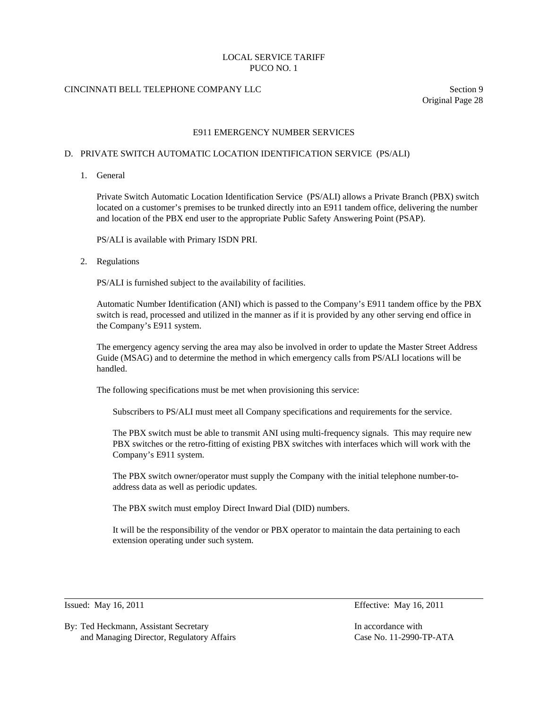# CINCINNATI BELL TELEPHONE COMPANY LLC Section 9

Original Page 28

### E911 EMERGENCY NUMBER SERVICES

### D. PRIVATE SWITCH AUTOMATIC LOCATION IDENTIFICATION SERVICE (PS/ALI)

1. General

 Private Switch Automatic Location Identification Service (PS/ALI) allows a Private Branch (PBX) switch located on a customer's premises to be trunked directly into an E911 tandem office, delivering the number and location of the PBX end user to the appropriate Public Safety Answering Point (PSAP).

PS/ALI is available with Primary ISDN PRI.

## 2. Regulations

PS/ALI is furnished subject to the availability of facilities.

 Automatic Number Identification (ANI) which is passed to the Company's E911 tandem office by the PBX switch is read, processed and utilized in the manner as if it is provided by any other serving end office in the Company's E911 system.

 The emergency agency serving the area may also be involved in order to update the Master Street Address Guide (MSAG) and to determine the method in which emergency calls from PS/ALI locations will be handled.

The following specifications must be met when provisioning this service:

Subscribers to PS/ALI must meet all Company specifications and requirements for the service.

 The PBX switch must be able to transmit ANI using multi-frequency signals. This may require new PBX switches or the retro-fitting of existing PBX switches with interfaces which will work with the Company's E911 system.

 The PBX switch owner/operator must supply the Company with the initial telephone number-toaddress data as well as periodic updates.

The PBX switch must employ Direct Inward Dial (DID) numbers.

 It will be the responsibility of the vendor or PBX operator to maintain the data pertaining to each extension operating under such system.

 $\overline{a}$ 

By: Ted Heckmann, Assistant Secretary **In accordance with** In accordance with and Managing Director, Regulatory Affairs Case No. 11-2990-TP-ATA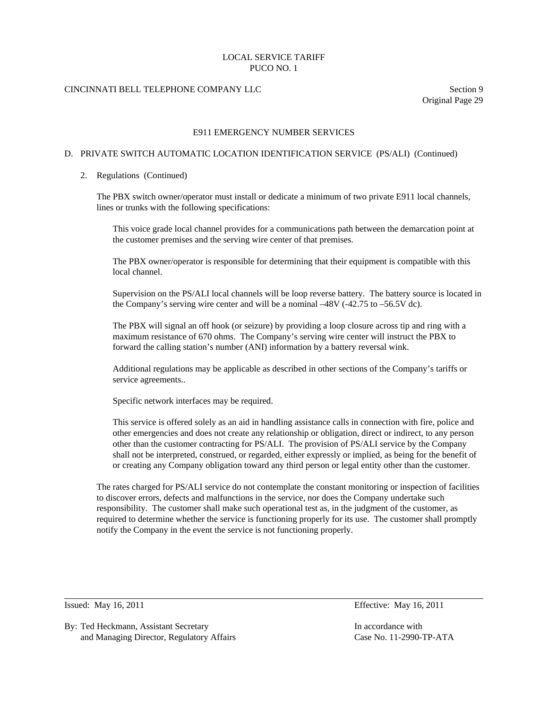## CINCINNATI BELL TELEPHONE COMPANY LLC Section 9

Original Page 29

### E911 EMERGENCY NUMBER SERVICES

# D. PRIVATE SWITCH AUTOMATIC LOCATION IDENTIFICATION SERVICE (PS/ALI) (Continued)

#### 2. Regulations (Continued)

 The PBX switch owner/operator must install or dedicate a minimum of two private E911 local channels, lines or trunks with the following specifications:

 This voice grade local channel provides for a communications path between the demarcation point at the customer premises and the serving wire center of that premises.

 The PBX owner/operator is responsible for determining that their equipment is compatible with this local channel.

 Supervision on the PS/ALI local channels will be loop reverse battery. The battery source is located in the Company's serving wire center and will be a nominal –48V (-42.75 to –56.5V dc).

 The PBX will signal an off hook (or seizure) by providing a loop closure across tip and ring with a maximum resistance of 670 ohms. The Company's serving wire center will instruct the PBX to forward the calling station's number (ANI) information by a battery reversal wink.

 Additional regulations may be applicable as described in other sections of the Company's tariffs or service agreements..

Specific network interfaces may be required.

 This service is offered solely as an aid in handling assistance calls in connection with fire, police and other emergencies and does not create any relationship or obligation, direct or indirect, to any person other than the customer contracting for PS/ALI. The provision of PS/ALI service by the Company shall not be interpreted, construed, or regarded, either expressly or implied, as being for the benefit of or creating any Company obligation toward any third person or legal entity other than the customer.

 The rates charged for PS/ALI service do not contemplate the constant monitoring or inspection of facilities to discover errors, defects and malfunctions in the service, nor does the Company undertake such responsibility. The customer shall make such operational test as, in the judgment of the customer, as required to determine whether the service is functioning properly for its use. The customer shall promptly notify the Company in the event the service is not functioning properly.

l

Issued: May 16, 2011 Effective: May 16, 2011

By: Ted Heckmann, Assistant Secretary **In accordance with** In accordance with and Managing Director, Regulatory Affairs Case No. 11-2990-TP-ATA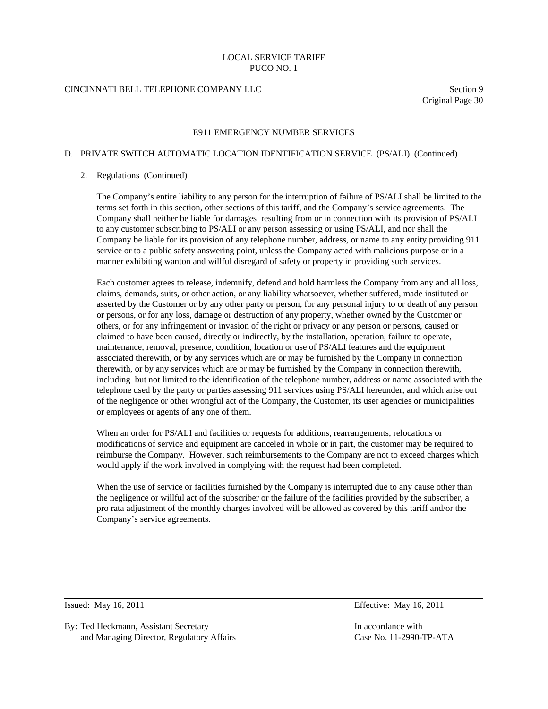# CINCINNATI BELL TELEPHONE COMPANY LLC Section 9

Original Page 30

### E911 EMERGENCY NUMBER SERVICES

### D. PRIVATE SWITCH AUTOMATIC LOCATION IDENTIFICATION SERVICE (PS/ALI) (Continued)

#### 2. Regulations (Continued)

 The Company's entire liability to any person for the interruption of failure of PS/ALI shall be limited to the terms set forth in this section, other sections of this tariff, and the Company's service agreements. The Company shall neither be liable for damages resulting from or in connection with its provision of PS/ALI to any customer subscribing to PS/ALI or any person assessing or using PS/ALI, and nor shall the Company be liable for its provision of any telephone number, address, or name to any entity providing 911 service or to a public safety answering point, unless the Company acted with malicious purpose or in a manner exhibiting wanton and willful disregard of safety or property in providing such services.

 Each customer agrees to release, indemnify, defend and hold harmless the Company from any and all loss, claims, demands, suits, or other action, or any liability whatsoever, whether suffered, made instituted or asserted by the Customer or by any other party or person, for any personal injury to or death of any person or persons, or for any loss, damage or destruction of any property, whether owned by the Customer or others, or for any infringement or invasion of the right or privacy or any person or persons, caused or claimed to have been caused, directly or indirectly, by the installation, operation, failure to operate, maintenance, removal, presence, condition, location or use of PS/ALI features and the equipment associated therewith, or by any services which are or may be furnished by the Company in connection therewith, or by any services which are or may be furnished by the Company in connection therewith, including but not limited to the identification of the telephone number, address or name associated with the telephone used by the party or parties assessing 911 services using PS/ALI hereunder, and which arise out of the negligence or other wrongful act of the Company, the Customer, its user agencies or municipalities or employees or agents of any one of them.

 When an order for PS/ALI and facilities or requests for additions, rearrangements, relocations or modifications of service and equipment are canceled in whole or in part, the customer may be required to reimburse the Company. However, such reimbursements to the Company are not to exceed charges which would apply if the work involved in complying with the request had been completed.

 When the use of service or facilities furnished by the Company is interrupted due to any cause other than the negligence or willful act of the subscriber or the failure of the facilities provided by the subscriber, a pro rata adjustment of the monthly charges involved will be allowed as covered by this tariff and/or the Company's service agreements.

 $\overline{a}$ 

By: Ted Heckmann, Assistant Secretary **In accordance with** In accordance with and Managing Director, Regulatory Affairs Case No. 11-2990-TP-ATA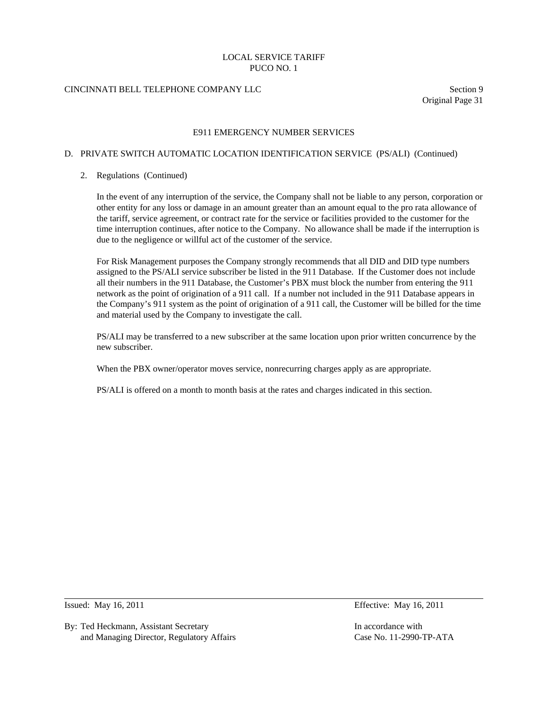# CINCINNATI BELL TELEPHONE COMPANY LLC Section 9

Original Page 31

### E911 EMERGENCY NUMBER SERVICES

### D. PRIVATE SWITCH AUTOMATIC LOCATION IDENTIFICATION SERVICE (PS/ALI) (Continued)

### 2. Regulations (Continued)

 In the event of any interruption of the service, the Company shall not be liable to any person, corporation or other entity for any loss or damage in an amount greater than an amount equal to the pro rata allowance of the tariff, service agreement, or contract rate for the service or facilities provided to the customer for the time interruption continues, after notice to the Company. No allowance shall be made if the interruption is due to the negligence or willful act of the customer of the service.

 For Risk Management purposes the Company strongly recommends that all DID and DID type numbers assigned to the PS/ALI service subscriber be listed in the 911 Database. If the Customer does not include all their numbers in the 911 Database, the Customer's PBX must block the number from entering the 911 network as the point of origination of a 911 call. If a number not included in the 911 Database appears in the Company's 911 system as the point of origination of a 911 call, the Customer will be billed for the time and material used by the Company to investigate the call.

 PS/ALI may be transferred to a new subscriber at the same location upon prior written concurrence by the new subscriber.

When the PBX owner/operator moves service, nonrecurring charges apply as are appropriate.

PS/ALI is offered on a month to month basis at the rates and charges indicated in this section.

 $\overline{a}$ 

By: Ted Heckmann, Assistant Secretary **In accordance with** In accordance with and Managing Director, Regulatory Affairs Case No. 11-2990-TP-ATA